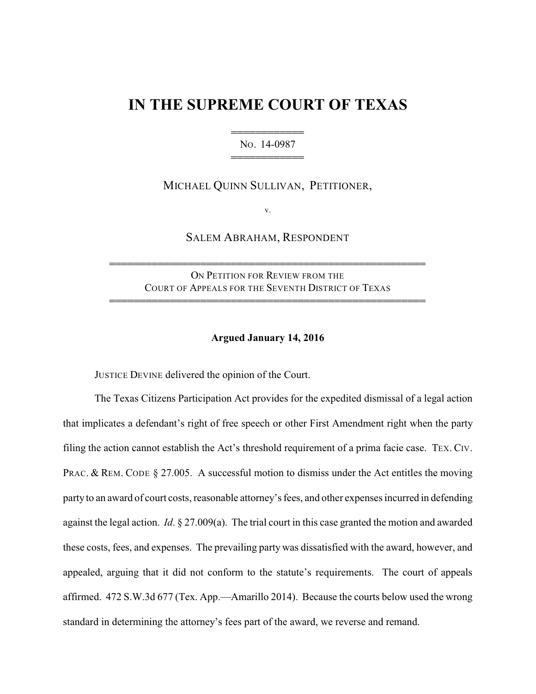## **IN THE SUPREME COURT OF TEXAS**

444444444444 NO. 14-0987 444444444444

MICHAEL QUINN SULLIVAN, PETITIONER,

v.

SALEM ABRAHAM, RESPONDENT

ON PETITION FOR REVIEW FROM THE COURT OF APPEALS FOR THE SEVENTH DISTRICT OF TEXAS

4444444444444444444444444444444444444444444444444444

4444444444444444444444444444444444444444444444444444

## **Argued January 14, 2016**

JUSTICE DEVINE delivered the opinion of the Court.

The Texas Citizens Participation Act provides for the expedited dismissal of a legal action that implicates a defendant's right of free speech or other First Amendment right when the party filing the action cannot establish the Act's threshold requirement of a prima facie case. TEX. CIV. PRAC. & REM. CODE § 27.005. A successful motion to dismiss under the Act entitles the moving party to an award of court costs, reasonable attorney's fees, and other expenses incurred in defending against the legal action. *Id*. § 27.009(a). The trial court in this case granted the motion and awarded these costs, fees, and expenses. The prevailing party was dissatisfied with the award, however, and appealed, arguing that it did not conform to the statute's requirements. The court of appeals affirmed. 472 S.W.3d 677 (Tex. App.—Amarillo 2014). Because the courts below used the wrong standard in determining the attorney's fees part of the award, we reverse and remand.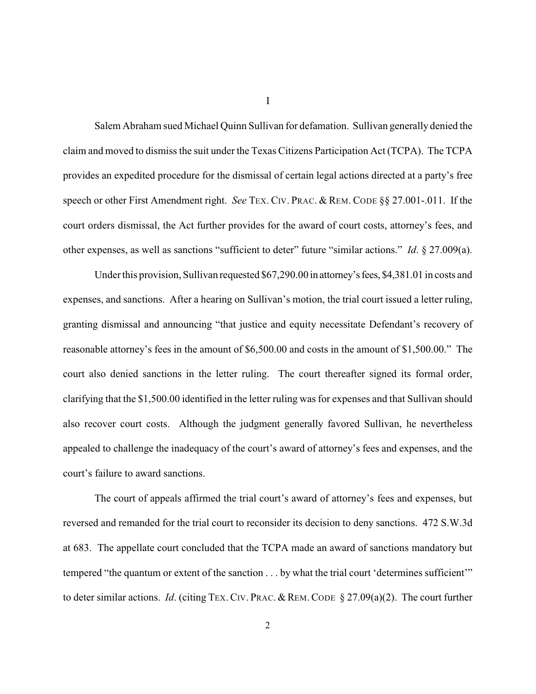Salem Abraham sued Michael Quinn Sullivan for defamation. Sullivan generally denied the claim and moved to dismissthe suit under the Texas Citizens Participation Act (TCPA). The TCPA provides an expedited procedure for the dismissal of certain legal actions directed at a party's free speech or other First Amendment right. *See* TEX. CIV. PRAC. & REM. CODE §§ 27.001-.011. If the court orders dismissal, the Act further provides for the award of court costs, attorney's fees, and other expenses, as well as sanctions "sufficient to deter" future "similar actions." *Id*. § 27.009(a).

Under this provision, Sullivan requested \$67,290.00 in attorney's fees, \$4,381.01 in costs and expenses, and sanctions. After a hearing on Sullivan's motion, the trial court issued a letter ruling, granting dismissal and announcing "that justice and equity necessitate Defendant's recovery of reasonable attorney's fees in the amount of \$6,500.00 and costs in the amount of \$1,500.00." The court also denied sanctions in the letter ruling. The court thereafter signed its formal order, clarifying that the \$1,500.00 identified in the letter ruling was for expenses and that Sullivan should also recover court costs. Although the judgment generally favored Sullivan, he nevertheless appealed to challenge the inadequacy of the court's award of attorney's fees and expenses, and the court's failure to award sanctions.

The court of appeals affirmed the trial court's award of attorney's fees and expenses, but reversed and remanded for the trial court to reconsider its decision to deny sanctions. 472 S.W.3d at 683. The appellate court concluded that the TCPA made an award of sanctions mandatory but tempered "the quantum or extent of the sanction . . . by what the trial court 'determines sufficient'" to deter similar actions. *Id*. (citing TEX.CIV. PRAC.&REM.CODE § 27.09(a)(2). The court further

I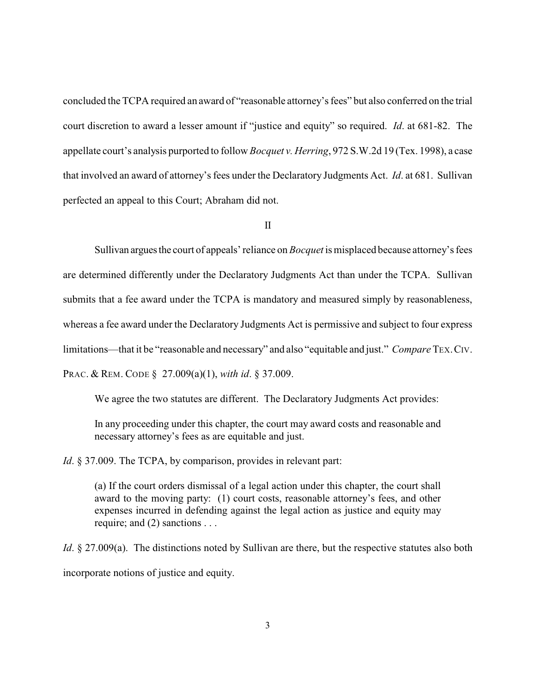concluded the TCPA required an award of "reasonable attorney's fees" but also conferred on the trial court discretion to award a lesser amount if "justice and equity" so required. *Id*. at 681-82. The appellate court's analysis purported to follow *Bocquet v. Herring*, 972 S.W.2d 19 (Tex. 1998), a case that involved an award of attorney's fees under the Declaratory Judgments Act. *Id*. at 681. Sullivan perfected an appeal to this Court; Abraham did not.

II

Sullivan arguesthe court of appeals' reliance on *Bocquet* is misplaced because attorney's fees are determined differently under the Declaratory Judgments Act than under the TCPA. Sullivan submits that a fee award under the TCPA is mandatory and measured simply by reasonableness, whereas a fee award under the Declaratory Judgments Act is permissive and subject to four express limitations—that it be "reasonable and necessary" and also "equitable and just." *Compare* TEX.CIV. PRAC. & REM. CODE § 27.009(a)(1), *with id*. § 37.009.

We agree the two statutes are different. The Declaratory Judgments Act provides:

In any proceeding under this chapter, the court may award costs and reasonable and necessary attorney's fees as are equitable and just.

*Id.* § 37.009. The TCPA, by comparison, provides in relevant part:

(a) If the court orders dismissal of a legal action under this chapter, the court shall award to the moving party: (1) court costs, reasonable attorney's fees, and other expenses incurred in defending against the legal action as justice and equity may require; and (2) sanctions . . .

*Id*. § 27.009(a). The distinctions noted by Sullivan are there, but the respective statutes also both incorporate notions of justice and equity.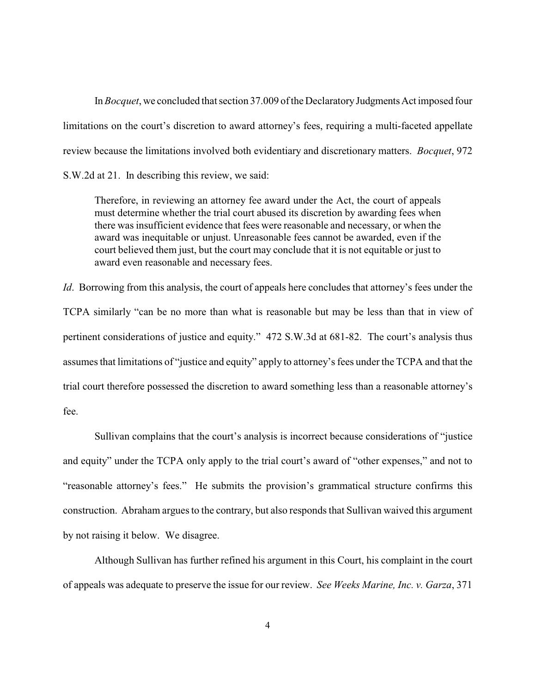In *Bocquet*, we concluded that section 37.009 of the Declaratory Judgments Act imposed four limitations on the court's discretion to award attorney's fees, requiring a multi-faceted appellate review because the limitations involved both evidentiary and discretionary matters. *Bocquet*, 972 S.W.2d at 21. In describing this review, we said:

Therefore, in reviewing an attorney fee award under the Act, the court of appeals must determine whether the trial court abused its discretion by awarding fees when there was insufficient evidence that fees were reasonable and necessary, or when the award was inequitable or unjust. Unreasonable fees cannot be awarded, even if the court believed them just, but the court may conclude that it is not equitable or just to award even reasonable and necessary fees.

*Id.* Borrowing from this analysis, the court of appeals here concludes that attorney's fees under the TCPA similarly "can be no more than what is reasonable but may be less than that in view of pertinent considerations of justice and equity." 472 S.W.3d at 681-82. The court's analysis thus assumes that limitations of "justice and equity" apply to attorney's fees under the TCPA and that the trial court therefore possessed the discretion to award something less than a reasonable attorney's fee.

Sullivan complains that the court's analysis is incorrect because considerations of "justice and equity" under the TCPA only apply to the trial court's award of "other expenses," and not to "reasonable attorney's fees." He submits the provision's grammatical structure confirms this construction. Abraham argues to the contrary, but also responds that Sullivan waived this argument by not raising it below. We disagree.

Although Sullivan has further refined his argument in this Court, his complaint in the court of appeals was adequate to preserve the issue for our review. *See Weeks Marine, Inc. v. Garza*, 371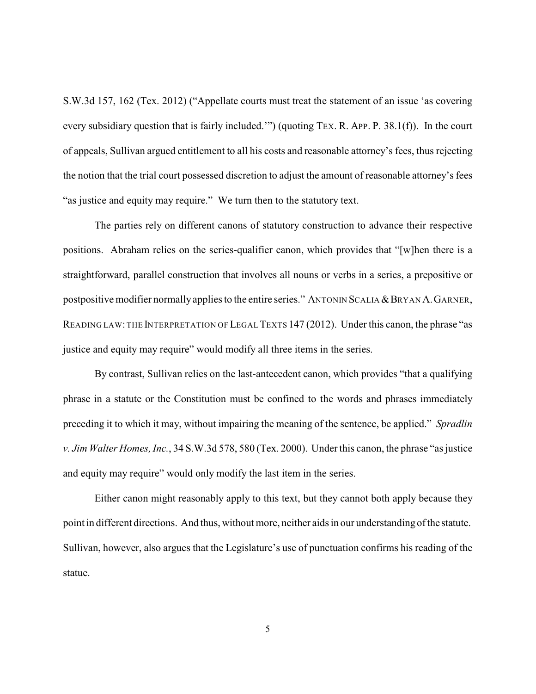S.W.3d 157, 162 (Tex. 2012) ("Appellate courts must treat the statement of an issue 'as covering every subsidiary question that is fairly included.'") (quoting TEX. R. APP. P. 38.1(f)). In the court of appeals, Sullivan argued entitlement to all his costs and reasonable attorney's fees, thus rejecting the notion that the trial court possessed discretion to adjust the amount of reasonable attorney's fees "as justice and equity may require." We turn then to the statutory text.

The parties rely on different canons of statutory construction to advance their respective positions. Abraham relies on the series-qualifier canon, which provides that "[w]hen there is a straightforward, parallel construction that involves all nouns or verbs in a series, a prepositive or postpositive modifier normally applies to the entire series." ANTONIN SCALIA & BRYAN A. GARNER, READING LAW: THE INTERPRETATION OF LEGAL TEXTS 147 (2012). Under this canon, the phrase "as justice and equity may require" would modify all three items in the series.

By contrast, Sullivan relies on the last-antecedent canon, which provides "that a qualifying phrase in a statute or the Constitution must be confined to the words and phrases immediately preceding it to which it may, without impairing the meaning of the sentence, be applied." *Spradlin v. Jim Walter Homes, Inc.*, 34 S.W.3d 578, 580 (Tex. 2000). Underthis canon, the phrase "as justice and equity may require" would only modify the last item in the series.

Either canon might reasonably apply to this text, but they cannot both apply because they point in different directions. And thus, without more, neither aids in our understanding of the statute. Sullivan, however, also argues that the Legislature's use of punctuation confirms his reading of the statue.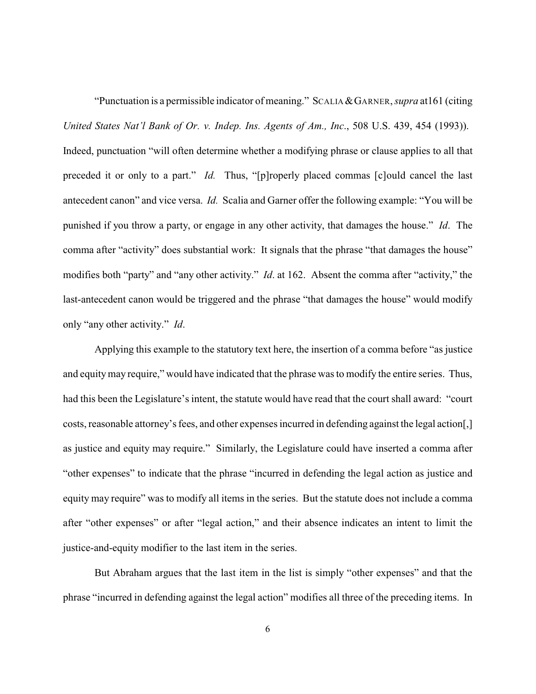"Punctuation is a permissible indicator of meaning." SCALIA&GARNER, *supra* at161 (citing *United States Nat'l Bank of Or. v. Indep. Ins. Agents of Am., Inc*., 508 U.S. 439, 454 (1993)). Indeed, punctuation "will often determine whether a modifying phrase or clause applies to all that preceded it or only to a part." *Id.* Thus, "[p]roperly placed commas [c]ould cancel the last antecedent canon" and vice versa. *Id.* Scalia and Garner offer the following example: "You will be punished if you throw a party, or engage in any other activity, that damages the house." *Id*. The comma after "activity" does substantial work: It signals that the phrase "that damages the house" modifies both "party" and "any other activity." *Id*. at 162. Absent the comma after "activity," the last-antecedent canon would be triggered and the phrase "that damages the house" would modify only "any other activity." *Id*.

Applying this example to the statutory text here, the insertion of a comma before "as justice and equitymay require," would have indicated that the phrase was to modify the entire series. Thus, had this been the Legislature's intent, the statute would have read that the court shall award: "court costs, reasonable attorney's fees, and other expenses incurred in defending against the legal action[,] as justice and equity may require." Similarly, the Legislature could have inserted a comma after "other expenses" to indicate that the phrase "incurred in defending the legal action as justice and equity may require" was to modify all items in the series. But the statute does not include a comma after "other expenses" or after "legal action," and their absence indicates an intent to limit the justice-and-equity modifier to the last item in the series.

But Abraham argues that the last item in the list is simply "other expenses" and that the phrase "incurred in defending against the legal action" modifies all three of the preceding items. In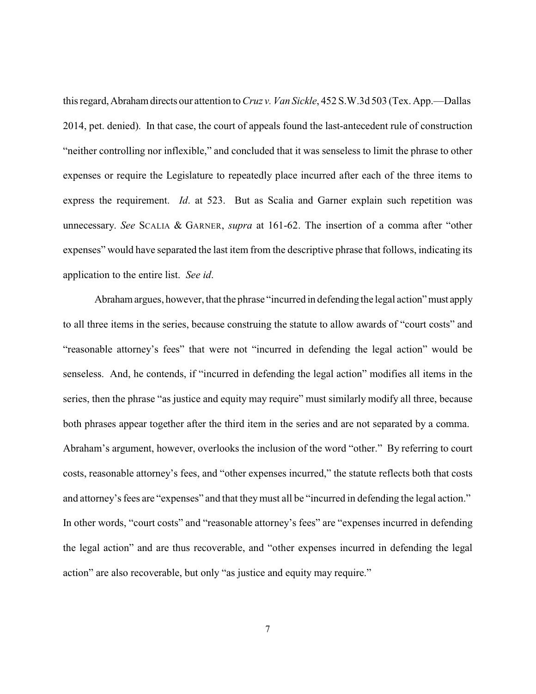this regard,Abraham directs our attention to *Cruz v. Van Sickle*, 452 S.W.3d 503 (Tex. App.—Dallas 2014, pet. denied). In that case, the court of appeals found the last-antecedent rule of construction "neither controlling nor inflexible," and concluded that it was senseless to limit the phrase to other expenses or require the Legislature to repeatedly place incurred after each of the three items to express the requirement. *Id*. at 523. But as Scalia and Garner explain such repetition was unnecessary. *See* SCALIA & GARNER, *supra* at 161-62. The insertion of a comma after "other expenses" would have separated the last item from the descriptive phrase that follows, indicating its application to the entire list. *See id*.

Abraham argues, however, that the phrase "incurred in defending the legal action" must apply to all three items in the series, because construing the statute to allow awards of "court costs" and "reasonable attorney's fees" that were not "incurred in defending the legal action" would be senseless. And, he contends, if "incurred in defending the legal action" modifies all items in the series, then the phrase "as justice and equity may require" must similarly modify all three, because both phrases appear together after the third item in the series and are not separated by a comma. Abraham's argument, however, overlooks the inclusion of the word "other." By referring to court costs, reasonable attorney's fees, and "other expenses incurred," the statute reflects both that costs and attorney's fees are "expenses" and that they must all be "incurred in defending the legal action." In other words, "court costs" and "reasonable attorney's fees" are "expenses incurred in defending the legal action" and are thus recoverable, and "other expenses incurred in defending the legal action" are also recoverable, but only "as justice and equity may require."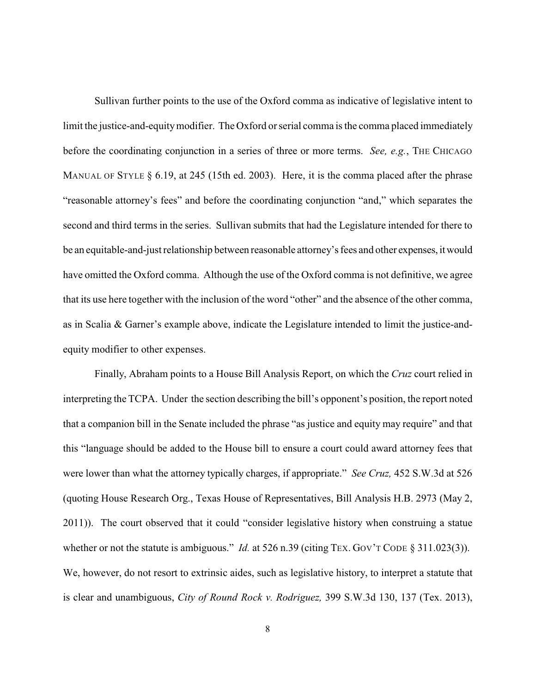Sullivan further points to the use of the Oxford comma as indicative of legislative intent to limit the justice-and-equitymodifier. The Oxford or serial comma is the comma placed immediately before the coordinating conjunction in a series of three or more terms. *See, e.g.*, THE CHICAGO MANUAL OF STYLE § 6.19, at 245 (15th ed. 2003). Here, it is the comma placed after the phrase "reasonable attorney's fees" and before the coordinating conjunction "and," which separates the second and third terms in the series. Sullivan submits that had the Legislature intended for there to be an equitable-and-just relationship between reasonable attorney's fees and other expenses, itwould have omitted the Oxford comma. Although the use of the Oxford comma is not definitive, we agree that its use here together with the inclusion of the word "other" and the absence of the other comma, as in Scalia & Garner's example above, indicate the Legislature intended to limit the justice-andequity modifier to other expenses.

Finally, Abraham points to a House Bill Analysis Report, on which the *Cruz* court relied in interpreting the TCPA. Under the section describing the bill's opponent's position, the report noted that a companion bill in the Senate included the phrase "as justice and equity may require" and that this "language should be added to the House bill to ensure a court could award attorney fees that were lower than what the attorney typically charges, if appropriate." *See Cruz,* 452 S.W.3d at 526 (quoting House Research Org., Texas House of Representatives, Bill Analysis H.B. 2973 (May 2, 2011)). The court observed that it could "consider legislative history when construing a statue whether or not the statute is ambiguous." *Id.* at 526 n.39 (citing TEX. GOV'T CODE § 311.023(3)). We, however, do not resort to extrinsic aides, such as legislative history, to interpret a statute that is clear and unambiguous, *City of Round Rock v. Rodriguez,* 399 S.W.3d 130, 137 (Tex. 2013),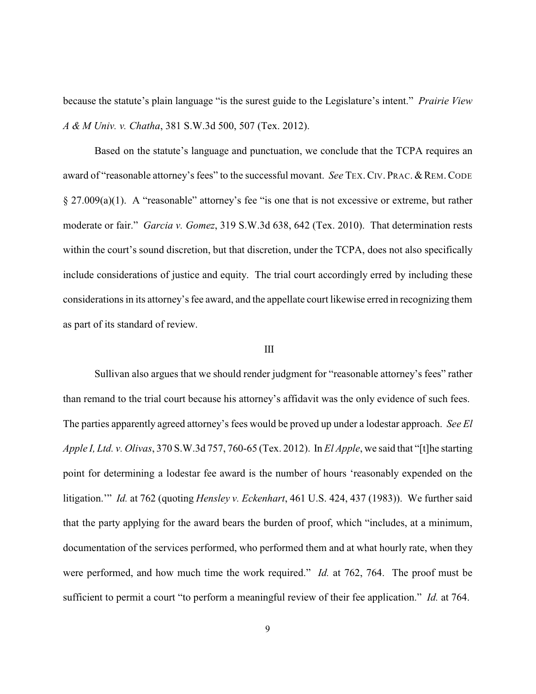because the statute's plain language "is the surest guide to the Legislature's intent." *Prairie View A & M Univ. v. Chatha*, 381 S.W.3d 500, 507 (Tex. 2012).

Based on the statute's language and punctuation, we conclude that the TCPA requires an award of "reasonable attorney's fees" to the successful movant. *See* TEX. CIV. PRAC. & REM. CODE § 27.009(a)(1). A "reasonable" attorney's fee "is one that is not excessive or extreme, but rather moderate or fair." *Garcia v. Gomez*, 319 S.W.3d 638, 642 (Tex. 2010). That determination rests within the court's sound discretion, but that discretion, under the TCPA, does not also specifically include considerations of justice and equity. The trial court accordingly erred by including these considerations in its attorney's fee award, and the appellate court likewise erred in recognizing them as part of its standard of review.

## III

Sullivan also argues that we should render judgment for "reasonable attorney's fees" rather than remand to the trial court because his attorney's affidavit was the only evidence of such fees. The parties apparently agreed attorney's fees would be proved up under a lodestar approach. *See El Apple I, Ltd. v. Olivas*, 370 S.W.3d 757, 760-65 (Tex. 2012). In *El Apple*, we said that "[t]he starting point for determining a lodestar fee award is the number of hours 'reasonably expended on the litigation.'" *Id.* at 762 (quoting *Hensley v. Eckenhart*, 461 U.S. 424, 437 (1983)). We further said that the party applying for the award bears the burden of proof, which "includes, at a minimum, documentation of the services performed, who performed them and at what hourly rate, when they were performed, and how much time the work required." *Id.* at 762, 764. The proof must be sufficient to permit a court "to perform a meaningful review of their fee application." *Id.* at 764.